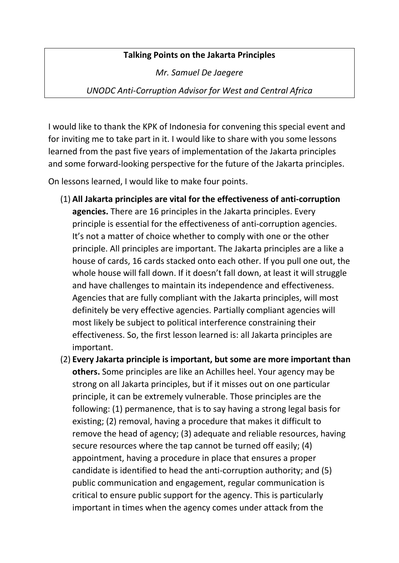## **Talking Points on the Jakarta Principles**

*Mr. Samuel De Jaegere*

*UNODC Anti-Corruption Advisor for West and Central Africa*

I would like to thank the KPK of Indonesia for convening this special event and for inviting me to take part in it. I would like to share with you some lessons learned from the past five years of implementation of the Jakarta principles and some forward-looking perspective for the future of the Jakarta principles.

On lessons learned, I would like to make four points.

- (1) **All Jakarta principles are vital for the effectiveness of anti-corruption agencies.** There are 16 principles in the Jakarta principles. Every principle is essential for the effectiveness of anti-corruption agencies. It's not a matter of choice whether to comply with one or the other principle. All principles are important. The Jakarta principles are a like a house of cards, 16 cards stacked onto each other. If you pull one out, the whole house will fall down. If it doesn't fall down, at least it will struggle and have challenges to maintain its independence and effectiveness. Agencies that are fully compliant with the Jakarta principles, will most definitely be very effective agencies. Partially compliant agencies will most likely be subject to political interference constraining their effectiveness. So, the first lesson learned is: all Jakarta principles are important.
- (2) **Every Jakarta principle is important, but some are more important than others.** Some principles are like an Achilles heel. Your agency may be strong on all Jakarta principles, but if it misses out on one particular principle, it can be extremely vulnerable. Those principles are the following: (1) permanence, that is to say having a strong legal basis for existing; (2) removal, having a procedure that makes it difficult to remove the head of agency; (3) adequate and reliable resources, having secure resources where the tap cannot be turned off easily; (4) appointment, having a procedure in place that ensures a proper candidate is identified to head the anti-corruption authority; and (5) public communication and engagement, regular communication is critical to ensure public support for the agency. This is particularly important in times when the agency comes under attack from the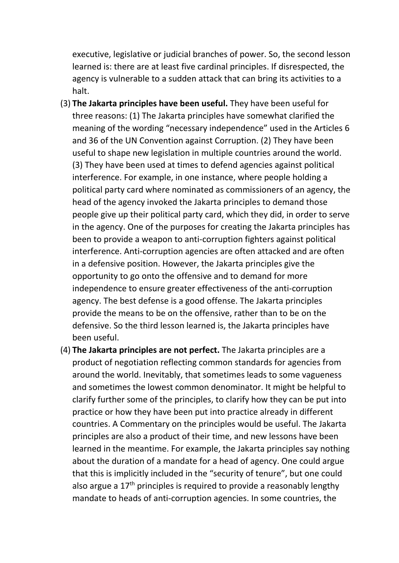executive, legislative or judicial branches of power. So, the second lesson learned is: there are at least five cardinal principles. If disrespected, the agency is vulnerable to a sudden attack that can bring its activities to a halt.

- (3) **The Jakarta principles have been useful.** They have been useful for three reasons: (1) The Jakarta principles have somewhat clarified the meaning of the wording "necessary independence" used in the Articles 6 and 36 of the UN Convention against Corruption. (2) They have been useful to shape new legislation in multiple countries around the world. (3) They have been used at times to defend agencies against political interference. For example, in one instance, where people holding a political party card where nominated as commissioners of an agency, the head of the agency invoked the Jakarta principles to demand those people give up their political party card, which they did, in order to serve in the agency. One of the purposes for creating the Jakarta principles has been to provide a weapon to anti-corruption fighters against political interference. Anti-corruption agencies are often attacked and are often in a defensive position. However, the Jakarta principles give the opportunity to go onto the offensive and to demand for more independence to ensure greater effectiveness of the anti-corruption agency. The best defense is a good offense. The Jakarta principles provide the means to be on the offensive, rather than to be on the defensive. So the third lesson learned is, the Jakarta principles have been useful.
- (4) **The Jakarta principles are not perfect.** The Jakarta principles are a product of negotiation reflecting common standards for agencies from around the world. Inevitably, that sometimes leads to some vagueness and sometimes the lowest common denominator. It might be helpful to clarify further some of the principles, to clarify how they can be put into practice or how they have been put into practice already in different countries. A Commentary on the principles would be useful. The Jakarta principles are also a product of their time, and new lessons have been learned in the meantime. For example, the Jakarta principles say nothing about the duration of a mandate for a head of agency. One could argue that this is implicitly included in the "security of tenure", but one could also argue a  $17<sup>th</sup>$  principles is required to provide a reasonably lengthy mandate to heads of anti-corruption agencies. In some countries, the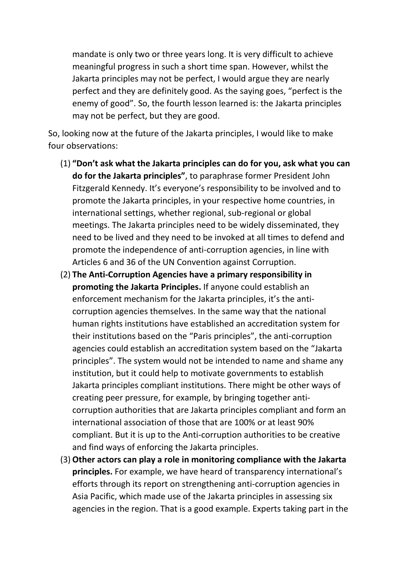mandate is only two or three years long. It is very difficult to achieve meaningful progress in such a short time span. However, whilst the Jakarta principles may not be perfect, I would argue they are nearly perfect and they are definitely good. As the saying goes, "perfect is the enemy of good". So, the fourth lesson learned is: the Jakarta principles may not be perfect, but they are good.

So, looking now at the future of the Jakarta principles, I would like to make four observations:

- (1) **"Don't ask what the Jakarta principles can do for you, ask what you can do for the Jakarta principles"**, to paraphrase former President John Fitzgerald Kennedy. It's everyone's responsibility to be involved and to promote the Jakarta principles, in your respective home countries, in international settings, whether regional, sub-regional or global meetings. The Jakarta principles need to be widely disseminated, they need to be lived and they need to be invoked at all times to defend and promote the independence of anti-corruption agencies, in line with Articles 6 and 36 of the UN Convention against Corruption.
- (2) **The Anti-Corruption Agencies have a primary responsibility in promoting the Jakarta Principles.** If anyone could establish an enforcement mechanism for the Jakarta principles, it's the anticorruption agencies themselves. In the same way that the national human rights institutions have established an accreditation system for their institutions based on the "Paris principles", the anti-corruption agencies could establish an accreditation system based on the "Jakarta principles". The system would not be intended to name and shame any institution, but it could help to motivate governments to establish Jakarta principles compliant institutions. There might be other ways of creating peer pressure, for example, by bringing together anticorruption authorities that are Jakarta principles compliant and form an international association of those that are 100% or at least 90% compliant. But it is up to the Anti-corruption authorities to be creative and find ways of enforcing the Jakarta principles.
- (3) **Other actors can play a role in monitoring compliance with the Jakarta principles.** For example, we have heard of transparency international's efforts through its report on strengthening anti-corruption agencies in Asia Pacific, which made use of the Jakarta principles in assessing six agencies in the region. That is a good example. Experts taking part in the